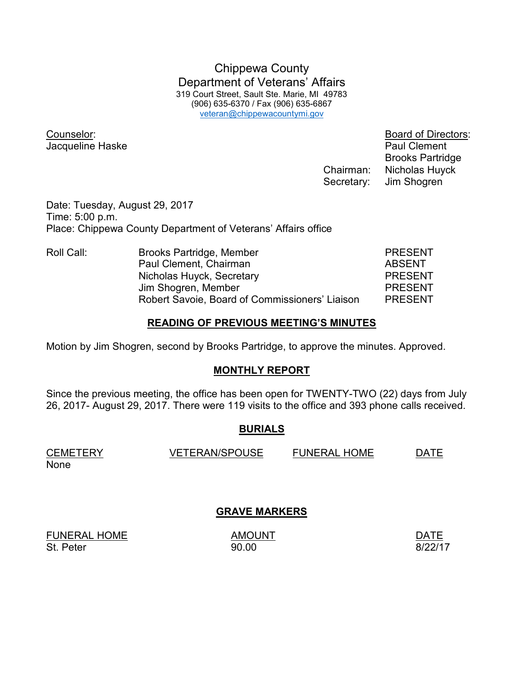Chippewa County Department of Veterans' Affairs 319 Court Street, Sault Ste. Marie, MI 49783 (906) 635-6370 / Fax (906) 635-6867 veteran@chippewacountymi.gov

Jacqueline Haske **Paul Clement** 

Counselor: Board of Directors: Brooks Partridge Chairman: Nicholas Huyck Secretary: Jim Shogren

Date: Tuesday, August 29, 2017 Time: 5:00 p.m. Place: Chippewa County Department of Veterans' Affairs office

Roll Call: Brooks Partridge, Member PRESENT Paul Clement, Chairman **ABSENT** Nicholas Huyck, Secretary **PRESENT**  Jim Shogren, Member PRESENT Robert Savoie, Board of Commissioners' Liaison PRESENT

#### **READING OF PREVIOUS MEETING'S MINUTES**

Motion by Jim Shogren, second by Brooks Partridge, to approve the minutes. Approved.

## **MONTHLY REPORT**

Since the previous meeting, the office has been open for TWENTY-TWO (22) days from July 26, 2017- August 29, 2017. There were 119 visits to the office and 393 phone calls received.

## **BURIALS**

| <b>CEMETERY</b> | <b>VETERAN/SPOUSE</b> | <b>FUNERAL HOME</b> | DATE |
|-----------------|-----------------------|---------------------|------|
| None            |                       |                     |      |

# **GRAVE MARKERS**

FUNERAL HOME AMOUNT AMOUNT DATE St. Peter 8/22/17